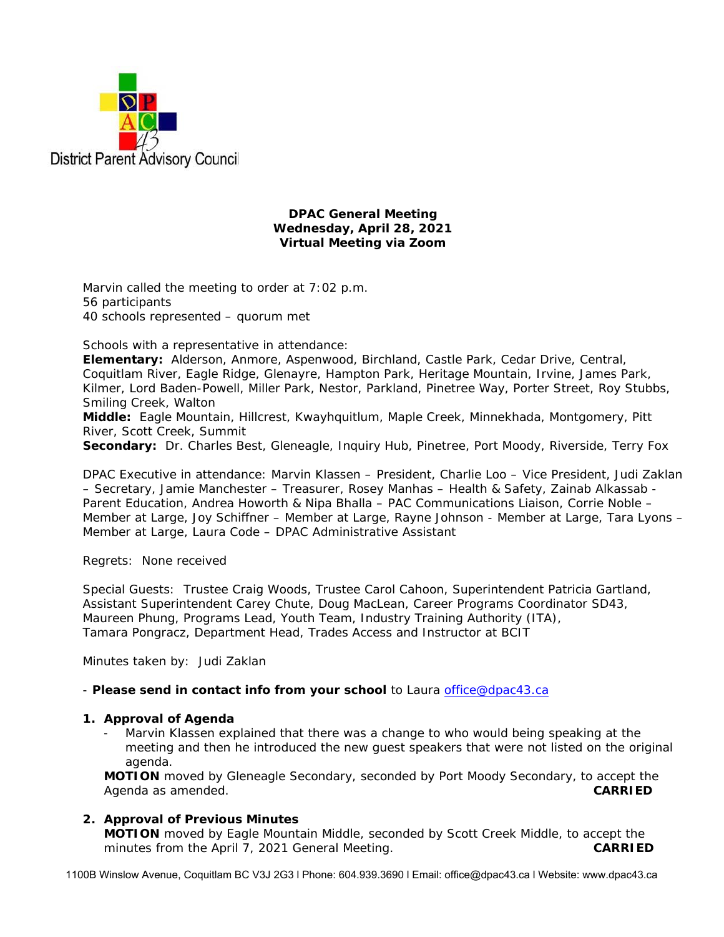

### **DPAC General Meeting Wednesday, April 28, 2021 Virtual Meeting via Zoom**

Marvin called the meeting to order at 7:02 p.m. 56 participants 40 schools represented – quorum met

Schools with a representative in attendance:

**Elementary:** Alderson, Anmore, Aspenwood, Birchland, Castle Park, Cedar Drive, Central, Coquitlam River, Eagle Ridge, Glenayre, Hampton Park, Heritage Mountain, Irvine, James Park, Kilmer, Lord Baden-Powell, Miller Park, Nestor, Parkland, Pinetree Way, Porter Street, Roy Stubbs, Smiling Creek, Walton

**Middle:** Eagle Mountain, Hillcrest, Kwayhquitlum, Maple Creek, Minnekhada, Montgomery, Pitt River, Scott Creek, Summit

**Secondary:** Dr. Charles Best, Gleneagle, Inquiry Hub, Pinetree, Port Moody, Riverside, Terry Fox

DPAC Executive in attendance: Marvin Klassen – President, Charlie Loo – Vice President, Judi Zaklan – Secretary, Jamie Manchester – Treasurer, Rosey Manhas – Health & Safety, Zainab Alkassab - Parent Education, Andrea Howorth & Nipa Bhalla – PAC Communications Liaison, Corrie Noble – Member at Large, Joy Schiffner – Member at Large, Rayne Johnson - Member at Large, Tara Lyons – Member at Large, Laura Code – DPAC Administrative Assistant

Regrets: None received

Special Guests: Trustee Craig Woods, Trustee Carol Cahoon, Superintendent Patricia Gartland, Assistant Superintendent Carey Chute, Doug MacLean, Career Programs Coordinator SD43, Maureen Phung, Programs Lead, Youth Team, Industry Training Authority (ITA), Tamara Pongracz, Department Head, Trades Access and Instructor at BCIT

Minutes taken by: Judi Zaklan

- *Please send in contact info from your school* to Laura office@dpac43.ca

### **1. Approval of Agenda**

Marvin Klassen explained that there was a change to who would being speaking at the meeting and then he introduced the new guest speakers that were not listed on the original agenda.

**MOTION** moved by *Gleneagle Secondary*, seconded by *Port Moody Secondary,* to accept the Agenda as amended. **CARRIED** 

### **2. Approval of Previous Minutes**

**MOTION** moved by *Eagle Mountain Middle*, seconded by *Scott Creek Middle*, to accept the minutes from the April 7, 2021 General Meeting. **CARRIED** 

1100B Winslow Avenue, Coquitlam BC V3J 2G3 l Phone: 604.939.3690 l Email: office@dpac43.ca l Website: www.dpac43.ca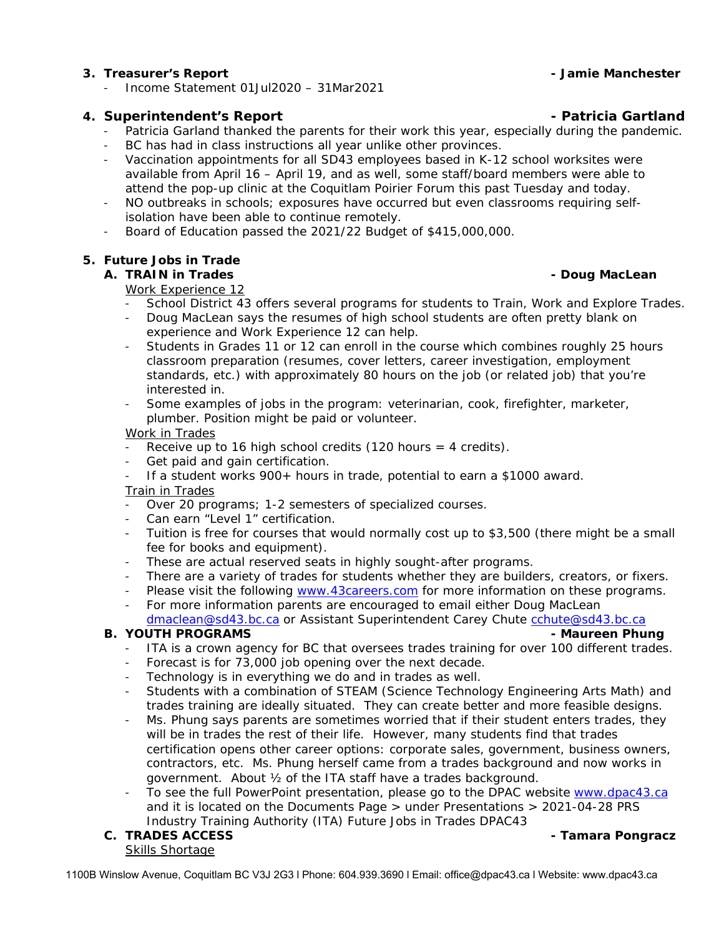### **3. Treasurer's Report - Jamie Manchester**

<sup>−</sup> Income Statement 01Jul2020 – 31Mar2021

## **4.** Superintendent's Report **Constanting Construction Construction Construction Construction Construction Construction Construction Construction Construction Construction Construction Construction Construction Constructio**

- <sup>−</sup> Patricia Garland thanked the parents for their work this year, especially during the pandemic.
- BC has had in class instructions all year unlike other provinces.
- Vaccination appointments for all SD43 employees based in K-12 school worksites were available from April 16 – April 19, and as well, some staff/board members were able to attend the pop-up clinic at the Coquitlam Poirier Forum this past Tuesday and today.
- <sup>−</sup> NO outbreaks in schools; exposures have occurred but even classrooms requiring selfisolation have been able to continue remotely.
- <sup>−</sup> Board of Education passed the 2021/22 Budget of \$415,000,000.

### **5. Future Jobs in Trade**

# **A. TRAIN in Trades - Doug MacLean**

### Work Experience 12

- School District 43 offers several programs for students to Train, Work and Explore Trades.
- Doug MacLean says the resumes of high school students are often pretty blank on experience and Work Experience 12 can help.
- Students in Grades 11 or 12 can enroll in the course which combines roughly 25 hours classroom preparation (resumes, cover letters, career investigation, employment standards, etc.) with approximately 80 hours on the job (or related job) that you're interested in.
- Some examples of jobs in the program: veterinarian, cook, firefighter, marketer, plumber. Position might be paid or volunteer.

### Work in Trades

- Receive up to 16 high school credits (120 hours = 4 credits).
- Get paid and gain certification.
- <sup>−</sup> If a student works 900+ hours in trade, potential to earn a \$1000 award.

## Train in Trades

- Over 20 programs; 1-2 semesters of specialized courses.
- Can earn "Level 1" certification.
- <sup>−</sup> Tuition is free for courses that would normally cost up to \$3,500 (there might be a small fee for books and equipment).
- These are actual reserved seats in highly sought-after programs.
- There are a variety of trades for students whether they are builders, creators, or fixers.
- Please visit the following www.43careers.com for more information on these programs.
- For more information parents are encouraged to email either Doug MacLean dmaclean@sd43.bc.ca or Assistant Superintendent Carey Chute cchute@sd43.bc.ca

### **B.** YOUTH PROGRAMS **2008** - Maureen Phung

- <sup>−</sup> ITA is a crown agency for BC that oversees trades training for over 100 different trades.
- Forecast is for 73,000 job opening over the next decade.
- Technology is in everything we do and in trades as well.
- Students with a combination of STEAM (Science Technology Engineering Arts Math) and trades training are ideally situated. They can create better and more feasible designs.
- Ms. Phung says parents are sometimes worried that if their student enters trades, they will be in trades the rest of their life. However, many students find that trades certification opens other career options: corporate sales, government, business owners, contractors, etc. Ms. Phung herself came from a trades background and now works in government. About ½ of the ITA staff have a trades background.
- To see the full PowerPoint presentation, please go to the DPAC website www.dpac43.ca and it is located on the Documents Page > under Presentations > 2021-04-28 PRS Industry Training Authority (ITA) Future Jobs in Trades DPAC43

# Skills Shortage

### **C. TRADES ACCESS - Tamara Pongracz**

1100B Winslow Avenue, Coquitlam BC V3J 2G3 l Phone: 604.939.3690 l Email: office@dpac43.ca l Website: www.dpac43.ca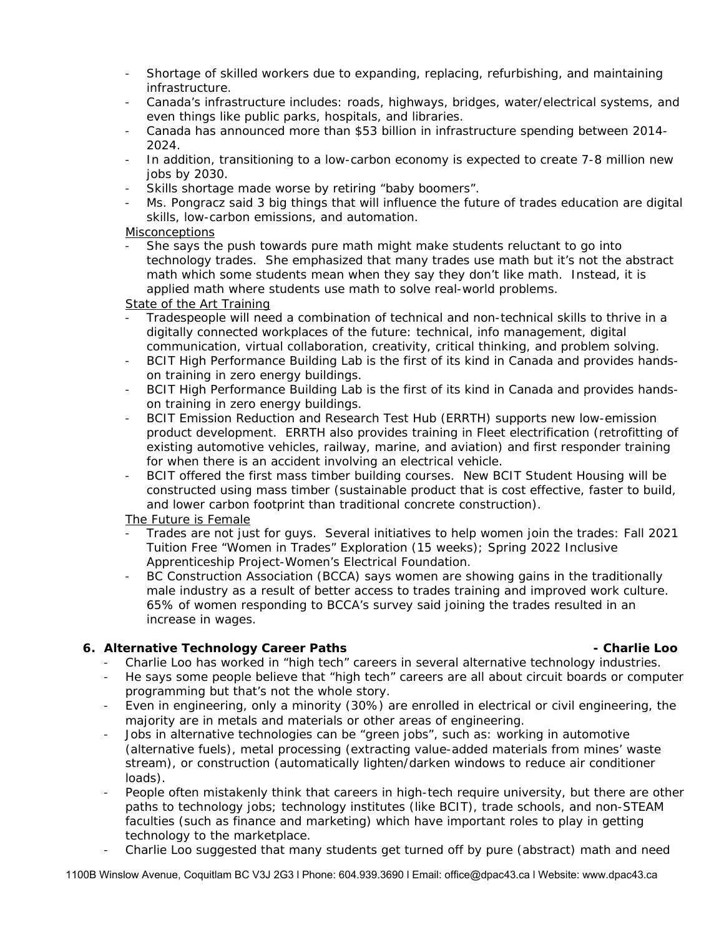- Shortage of skilled workers due to expanding, replacing, refurbishing, and maintaining infrastructure.
- <sup>−</sup> Canada's infrastructure includes: roads, highways, bridges, water/electrical systems, and even things like public parks, hospitals, and libraries.
- <sup>−</sup> Canada has announced more than \$53 billion in infrastructure spending between 2014- 2024.
- <sup>−</sup> In addition, transitioning to a low-carbon economy is expected to create 7-8 million new jobs by 2030.
- Skills shortage made worse by retiring "baby boomers".
- <sup>−</sup> Ms. Pongracz said 3 big things that will influence the future of trades education are digital skills, low-carbon emissions, and automation.

### **Misconceptions**

She says the push towards pure math might make students reluctant to go into technology trades. She emphasized that many trades use math but it's not the abstract math which some students mean when they say they don't like math. Instead, it is applied math where students use math to solve real-world problems.

### State of the Art Training

- Tradespeople will need a combination of technical and non-technical skills to thrive in a digitally connected workplaces of the future: technical, info management, digital communication, virtual collaboration, creativity, critical thinking, and problem solving.
- <sup>−</sup> BCIT High Performance Building Lab is the first of its kind in Canada and provides handson training in zero energy buildings.
- <sup>−</sup> BCIT High Performance Building Lab is the first of its kind in Canada and provides handson training in zero energy buildings.
- <sup>−</sup> BCIT Emission Reduction and Research Test Hub (ERRTH) supports new low-emission product development. ERRTH also provides training in Fleet electrification (retrofitting of existing automotive vehicles, railway, marine, and aviation) and first responder training for when there is an accident involving an electrical vehicle.
- BCIT offered the first mass timber building courses. New BCIT Student Housing will be constructed using mass timber (sustainable product that is cost effective, faster to build, and lower carbon footprint than traditional concrete construction).

### The Future is Female

- Trades are not just for guys. Several initiatives to help women join the trades: Fall 2021 Tuition Free "Women in Trades" Exploration (15 weeks); Spring 2022 Inclusive Apprenticeship Project-Women's Electrical Foundation.
- BC Construction Association (BCCA) says women are showing gains in the traditionally male industry as a result of better access to trades training and improved work culture. 65% of women responding to BCCA's survey said joining the trades resulted in an increase in wages.

### **6. Alternative Technology Career Paths - Charlie Loo**

- <sup>−</sup> Charlie Loo has worked in "high tech" careers in several alternative technology industries.
- <sup>−</sup> He says some people believe that "high tech" careers are all about circuit boards or computer programming but that's not the whole story.
- <sup>−</sup> Even in engineering, only a minority (30%) are enrolled in electrical or civil engineering, the majority are in metals and materials or other areas of engineering.
- Jobs in alternative technologies can be "green jobs", such as: working in automotive (alternative fuels), metal processing (extracting value-added materials from mines' waste stream), or construction (automatically lighten/darken windows to reduce air conditioner loads).
- People often mistakenly think that careers in high-tech require university, but there are other paths to technology jobs; technology institutes (like BCIT), trade schools, and non-STEAM faculties (such as finance and marketing) which have important roles to play in getting technology to the marketplace.
- <sup>−</sup> Charlie Loo suggested that many students get turned off by pure (abstract) math and need

1100B Winslow Avenue, Coquitlam BC V3J 2G3 l Phone: 604.939.3690 l Email: office@dpac43.ca l Website: www.dpac43.ca